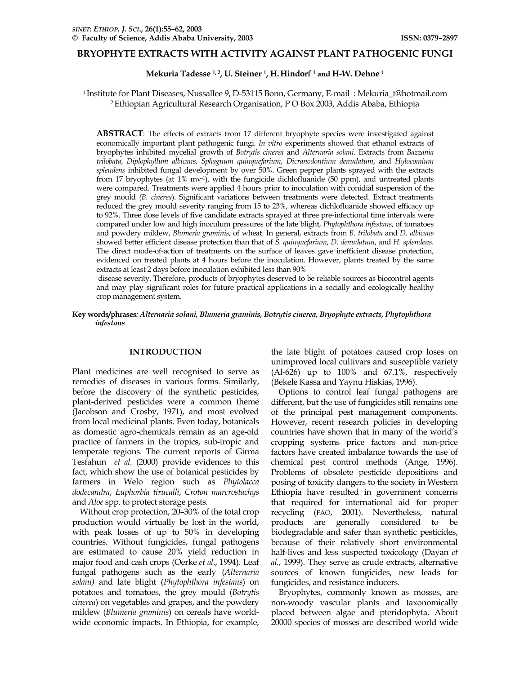## **BRYOPHYTE EXTRACTS WITH ACTIVITY AGAINST PLANT PATHOGENIC FUNGI**

Mekuria Tadesse <sup>1, 2</sup>, U. Steiner <sup>1</sup>, H. Hindorf <sup>1</sup> and H-W. Dehne <sup>1</sup>

1 Institute for Plant Diseases, Nussallee 9, D-53115 Bonn, Germany, E-mail : Mekuria\_t@hotmail.com 2 Ethiopian Agricultural Research Organisation, P O Box 2003, Addis Ababa, Ethiopia

**ABSTRACT**: The effects of extracts from 17 different bryophyte species were investigated against economically important plant pathogenic fungi. *In vitro* experiments showed that ethanol extracts of bryophytes inhibited mycelial growth of *Botrytis cinerea* and *Alternaria solani*. Extracts from *Bazzania trilobata*, *Diplophyllum albicans*, *Sphagnum quinquefarium*, *Dicranodontium denudatum*, and *Hylocomium splendens* inhibited fungal development by over 50%. Green pepper plants sprayed with the extracts from 17 bryophytes (at 1% mv-1), with the fungicide dichlofluanide (50 ppm), and untreated plants were compared. Treatments were applied 4 hours prior to inoculation with conidial suspension of the grey mould *(B. cinerea*). Significant variations between treatments were detected. Extract treatments reduced the grey mould severity ranging from 15 to 23%, whereas dichlofluanide showed efficacy up to 92%. Three dose levels of five candidate extracts sprayed at three pre-infectional time intervals were compared under low and high inoculum pressures of the late blight, *Phytophthora infestans*, of tomatoes and powdery mildew, *Blumeria graminis*, of wheat. In general, extracts from *B. trilobata* and *D. albicans* showed better efficient disease protection than that of *S. quinquefarium*, *D. denudatum*, and *H. splendens*. The direct mode-of-action of treatments on the surface of leaves gave inefficient disease protection, evidenced on treated plants at 4 hours before the inoculation. However, plants treated by the same extracts at least 2 days before inoculation exhibited less than 90%

 disease severity. Therefore, products of bryophytes deserved to be reliable sources as biocontrol agents and may play significant roles for future practical applications in a socially and ecologically healthy crop management system.

### **Key words/phrases***: Alternaria solani, Blumeria graminis, Botrytis cinerea, Bryophyte extracts, Phytophthora infestans*

#### **INTRODUCTION**

Plant medicines are well recognised to serve as remedies of diseases in various forms. Similarly, before the discovery of the synthetic pesticides, plant-derived pesticides were a common theme (Jacobson and Crosby, 1971), and most evolved from local medicinal plants. Even today, botanicals as domestic agro-chemicals remain as an age-old practice of farmers in the tropics, sub-tropic and temperate regions. The current reports of Girma Tesfahun *et al.* (2000) provide evidences to this fact, which show the use of botanical pesticides by farmers in Welo region such as *Phytolacca dodecandra*, *Euphorbia tirucalli*, *Croton marcrostachys* and *Aloe* spp. to protect storage pests.

 Without crop protection, 20–30% of the total crop production would virtually be lost in the world, with peak losses of up to 50% in developing countries. Without fungicides, fungal pathogens are estimated to cause 20% yield reduction in major food and cash crops (Oerke *et al*., 1994). Leaf fungal pathogens such as the early (*Alternaria solani)* and late blight (*Phytophthora infestans*) on potatoes and tomatoes, the grey mould (*Botrytis cinerea*) on vegetables and grapes, and the powdery mildew (*Blumeria graminis*) on cereals have worldwide economic impacts. In Ethiopia, for example,

the late blight of potatoes caused crop loses on unimproved local cultivars and susceptible variety (Al-626) up to 100% and 67.1%, respectively (Bekele Kassa and Yaynu Hiskias, 1996).

 Options to control leaf fungal pathogens are different, but the use of fungicides still remains one of the principal pest management components. However, recent research policies in developing countries have shown that in many of the world's cropping systems price factors and non-price factors have created imbalance towards the use of chemical pest control methods (Ange, 1996). Problems of obsolete pesticide depositions and posing of toxicity dangers to the society in Western Ethiopia have resulted in government concerns that required for international aid for proper recycling (FAO, 2001). Nevertheless, natural products are generally considered to be biodegradable and safer than synthetic pesticides, because of their relatively short environmental half-lives and less suspected toxicology (Dayan *et al.*, 1999). They serve as crude extracts, alternative sources of known fungicides, new leads for fungicides, and resistance inducers.

 Bryophytes, commonly known as mosses, are non-woody vascular plants and taxonomically placed between algae and pteridophyta. About 20000 species of mosses are described world wide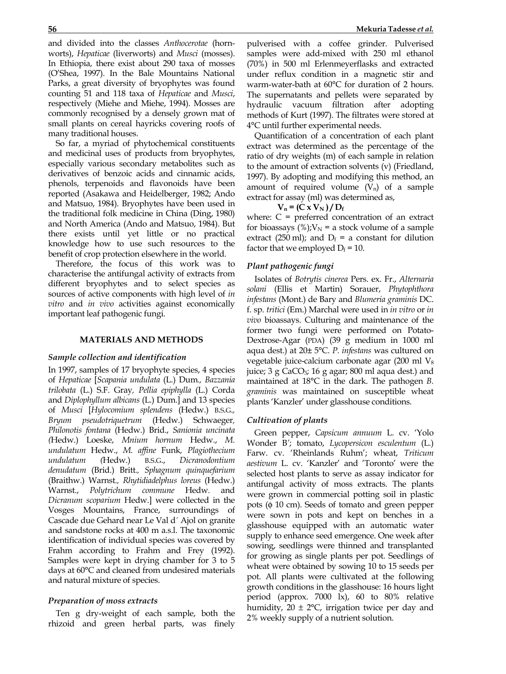and divided into the classes *Anthocerotae* (hornworts), *Hepaticae* (liverworts) and *Musci* (mosses). In Ethiopia, there exist about 290 taxa of mosses (O'Shea, 1997). In the Bale Mountains National Parks, a great diversity of bryophytes was found counting 51 and 118 taxa of *Hepaticae* and *Musci*, respectively (Miehe and Miehe, 1994). Mosses are commonly recognised by a densely grown mat of small plants on cereal hayricks covering roofs of many traditional houses.

 So far, a myriad of phytochemical constituents and medicinal uses of products from bryophytes, especially various secondary metabolites such as derivatives of benzoic acids and cinnamic acids, phenols, terpenoids and flavonoids have been reported (Asakawa and Heidelberger, 1982; Ando and Matsuo, 1984). Bryophytes have been used in the traditional folk medicine in China (Ding, 1980) and North America (Ando and Matsuo, 1984). But there exists until yet little or no practical knowledge how to use such resources to the benefit of crop protection elsewhere in the world.

 Therefore, the focus of this work was to characterise the antifungal activity of extracts from different bryophytes and to select species as sources of active components with high level of *in vitro* and *in vivo* activities against economically important leaf pathogenic fungi.

#### **MATERIALS AND METHODS**

### *Sample collection and identification*

In 1997, samples of 17 bryophyte species, 4 species of *Hepaticae* [*Scapania undulata* (L.) Dum*., Bazzania trilobata* (L.) S.F. Gray*, Pellia epiphylla* (L.) Corda and *Diplophyllum albicans* (L.) Dum.] and 13 species of *Musci* [*Hylocomium splendens* (Hedw.) B.S.G.*, Bryum pseudotriquetrum* (Hedw.) Schwaeger*, Philonotis fontana* (Hedw.) Brid., *Sanionia uncinata (*Hedw.) Loeske, *Mnium hornum* Hedw., *M. undulatum* Hedw., *M. affine* Funk*, Plagiothecium undulatum (*Hedw.) B.S.G., *Dicranodontium denudatum* (Brid.) Britt*., Sphagnum quinquefarium*  (Braithw.) Warnst*., Rhytidiadelphus loreus* (Hedw.) Warnst., *Polytrichum commune* Hedw*.* and *Dicranum scoparium* Hedw.] were collected in the Vosges Mountains, France, surroundings of Cascade due Gehard near Le Val d´ Ajol on granite and sandstone rocks at 400 m a.s.l. The taxonomic identification of individual species was covered by Frahm according to Frahm and Frey (1992). Samples were kept in drying chamber for 3 to 5 days at 60°C and cleaned from undesired materials and natural mixture of species.

### *Preparation of moss extracts*

 Ten g dry-weight of each sample, both the rhizoid and green herbal parts, was finely pulverised with a coffee grinder. Pulverised samples were add-mixed with 250 ml ethanol (70%) in 500 ml Erlenmeyerflasks and extracted under reflux condition in a magnetic stir and warm-water-bath at 60°C for duration of 2 hours. The supernatants and pellets were separated by hydraulic vacuum filtration after adopting methods of Kurt (1997). The filtrates were stored at 4°C until further experimental needs.

 Quantification of a concentration of each plant extract was determined as the percentage of the ratio of dry weights (m) of each sample in relation to the amount of extraction solvents (v) (Friedland, 1997). By adopting and modifying this method, an amount of required volume  $(V_n)$  of a sample extract for assay (ml) was determined as,

### $V_n = (C x V_N) / D_f$

where:  $C =$  preferred concentration of an extract for bioassays (%); $V_N$  = a stock volume of a sample extract (250 ml); and  $D_f = a$  constant for dilution factor that we employed  $D_f = 10$ .

### *Plant pathogenic fungi*

 Isolates of *Botrytis cinerea* Pers. ex. Fr., *Alternaria solani* (Ellis et Martin) Sorauer, *Phytophthora infestans* (Mont.) de Bary and *Blumeria graminis* DC. f. sp. *tritici* (Em.) Marchal were used in *in vitro* or *in vivo* bioassays. Culturing and maintenance of the former two fungi were performed on Potato-Dextrose-Agar (PDA) (39 g medium in 1000 ml aqua dest.) at 20± 5°C. *P. infestans* was cultured on vegetable juice-calcium carbonate agar (200 ml V<sub>8</sub>) juice; 3 g CaCO3; 16 g agar; 800 ml aqua dest.) and maintained at 18°C in the dark. The pathogen *B. graminis* was maintained on susceptible wheat plants 'Kanzler' under glasshouse conditions.

### *Cultivation of plants*

 Green pepper, *Capsicum annuum* L. cv. 'Yolo Wonder B*'*; tomato, *Lycopersicon esculentum* (L.) Farw. cv. 'Rheinlands Ruhm'; wheat, *Triticum aestivum* L. cv. 'Kanzler' and 'Toronto' were the selected host plants to serve as assay indicator for antifungal activity of moss extracts. The plants were grown in commercial potting soil in plastic pots (φ 10 cm). Seeds of tomato and green pepper were sown in pots and kept on benches in a glasshouse equipped with an automatic water supply to enhance seed emergence. One week after sowing, seedlings were thinned and transplanted for growing as single plants per pot. Seedlings of wheat were obtained by sowing 10 to 15 seeds per pot. All plants were cultivated at the following growth conditions in the glasshouse: 16 hours light period (approx. 7000 lx), 60 to 80% relative humidity,  $20 \pm 2$ °C, irrigation twice per day and 2% weekly supply of a nutrient solution.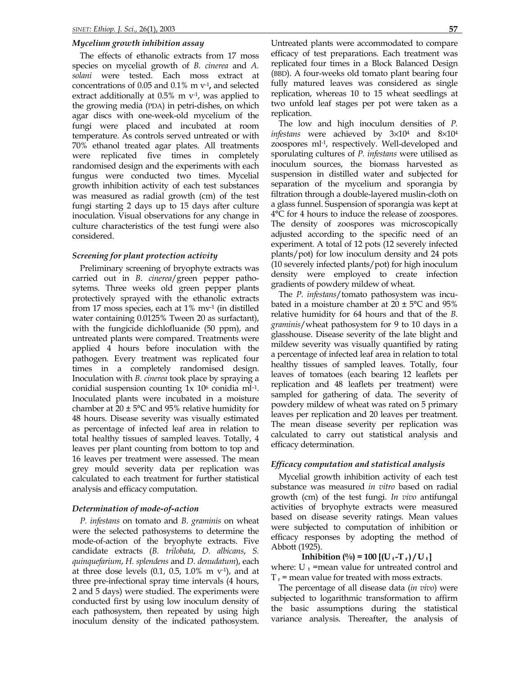### *Mycelium growth inhibition assay*

The effects of ethanolic extracts from 17 moss species on mycelial growth of *B. cinerea* and *A. solani* were tested. Each moss extract at concentrations of 0.05 and 0.1% m v-1**,** and selected extract additionally at  $0.5\%$  m  $v<sup>-1</sup>$ , was applied to the growing media (PDA) in petri-dishes, on which agar discs with one-week-old mycelium of the fungi were placed and incubated at room temperature. As controls served untreated or with 70% ethanol treated agar plates. All treatments were replicated five times in completely randomised design and the experiments with each fungus were conducted two times. Mycelial growth inhibition activity of each test substances was measured as radial growth (cm) of the test fungi starting 2 days up to 15 days after culture inoculation. Visual observations for any change in culture characteristics of the test fungi were also considered.

#### *Screening for plant protection activity*

Preliminary screening of bryophyte extracts was carried out in *B. cinerea*/green pepper pathosytems. Three weeks old green pepper plants protectively sprayed with the ethanolic extracts from 17 moss species, each at  $1\%$  mv<sup>-1</sup> (in distilled water containing 0.0125% Tween 20 as surfactant), with the fungicide dichlofluanide (50 ppm), and untreated plants were compared. Treatments were applied 4 hours before inoculation with the pathogen. Every treatment was replicated four times in a completely randomised design. Inoculation with *B. cinerea* took place by spraying a conidial suspension counting  $1x$   $10<sup>6</sup>$  conidia ml<sup>-1</sup>. Inoculated plants were incubated in a moisture chamber at  $20 \pm 5^{\circ}$ C and 95% relative humidity for 48 hours. Disease severity was visually estimated as percentage of infected leaf area in relation to total healthy tissues of sampled leaves. Totally, 4 leaves per plant counting from bottom to top and 16 leaves per treatment were assessed. The mean grey mould severity data per replication was calculated to each treatment for further statistical analysis and efficacy computation.

#### *Determination of mode-of-action*

*P. infestans* on tomato and *B. graminis* on wheat were the selected pathosystems to determine the mode-of-action of the bryophyte extracts. Five candidate extracts (*B. trilobata*, *D. albicans*, *S. quinquefarium*, *H. splendens* and *D. denudatum*), each at three dose levels  $(0.1, 0.5, 1.0\%$  m v<sup>-1</sup>), and at three pre-infectional spray time intervals (4 hours, 2 and 5 days) were studied. The experiments were conducted first by using low inoculum density of each pathosystem, then repeated by using high inoculum density of the indicated pathosystem.

Untreated plants were accommodated to compare efficacy of test preparations. Each treatment was replicated four times in a Block Balanced Design (BBD). A four-weeks old tomato plant bearing four fully matured leaves was considered as single replication, whereas 10 to 15 wheat seedlings at two unfold leaf stages per pot were taken as a replication.

The low and high inoculum densities of *P. infestans* were achieved by 3×104 and 8×104 zoospores ml-1, respectively. Well-developed and sporulating cultures of *P. infestans* were utilised as inoculum sources, the biomass harvested as suspension in distilled water and subjected for separation of the mycelium and sporangia by filtration through a double-layered muslin-cloth on a glass funnel. Suspension of sporangia was kept at 4°C for 4 hours to induce the release of zoospores. The density of zoospores was microscopically adjusted according to the specific need of an experiment. A total of 12 pots (12 severely infected plants/pot) for low inoculum density and 24 pots (10 severely infected plants/pot) for high inoculum density were employed to create infection gradients of powdery mildew of wheat.

 The *P. infestans*/tomato pathosystem was incubated in a moisture chamber at  $20 \pm 5^{\circ}$ C and 95% relative humidity for 64 hours and that of the *B. graminis*/wheat pathosystem for 9 to 10 days in a glasshouse. Disease severity of the late blight and mildew severity was visually quantified by rating a percentage of infected leaf area in relation to total healthy tissues of sampled leaves. Totally, four leaves of tomatoes (each bearing 12 leaflets per replication and 48 leaflets per treatment) were sampled for gathering of data. The severity of powdery mildew of wheat was rated on 5 primary leaves per replication and 20 leaves per treatment. The mean disease severity per replication was calculated to carry out statistical analysis and efficacy determination.

### *Efficacy computation and statistical analysis*

Mycelial growth inhibition activity of each test substance was measured *in vitro* based on radial growth (cm) of the test fungi. *In vivo* antifungal activities of bryophyte extracts were measured based on disease severity ratings. Mean values were subjected to computation of inhibition or efficacy responses by adopting the method of Abbott (1925).

# **Inhibition** (%) = 100  $[(U_t - T_t)/U_t]$

where:  $U_t$  =mean value for untreated control and  $T_r$  = mean value for treated with moss extracts.

The percentage of all disease data (*in vivo*) were subjected to logarithmic transformation to affirm the basic assumptions during the statistical variance analysis. Thereafter, the analysis of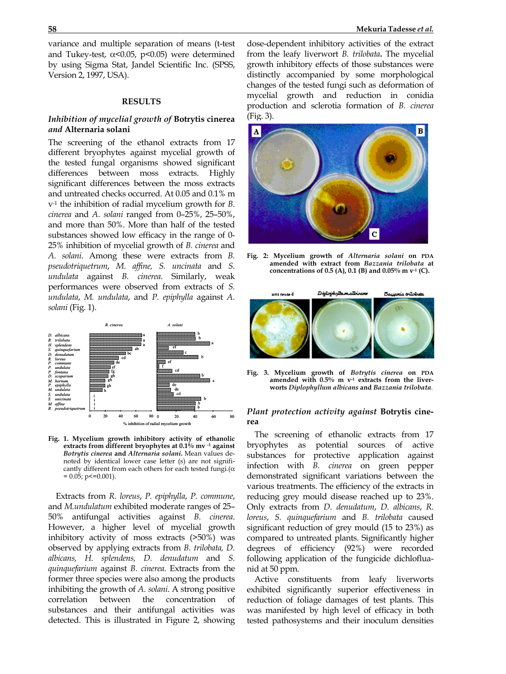variance and multiple separation of means (t-test and Tukey-test,  $\alpha$ <0.05, p<0.05) were determined by using Sigma Stat, Jandel Scientific Inc. (SPSS, Version 2, 1997, USA).

### **RESULTS**

# *Inhibition of mycelial growth of* **Botrytis cinerea**  *and* **Alternaria solani**

The screening of the ethanol extracts from 17 different bryophytes against mycelial growth of the tested fungal organisms showed significant differences between moss extracts. Highly significant differences between the moss extracts and untreated checks occurred. At 0.05 and 0.1% m v-1 the inhibition of radial mycelium growth for *B. cinerea* and *A. solani* ranged from 0–25%, 25–50%, and more than 50%. More than half of the tested substances showed low efficacy in the range of 0- 25% inhibition of mycelial growth of *B. cinerea* and *A. solani*. Among these were extracts from *B. pseudotriquetrum*, *M. affine, S. uncinata* and *S. undulata* against *B. cinerea.* Similarly, weak performances were observed from extracts of *S. undulata*, *M. undulata*, and *P. epiphylla* against *A. solani* (Fig. 1).



**Fig. 1. Mycelium growth inhibitory activity of ethanolic extracts from different bryophytes at 0.1% mv -1 against** *Botrytis cinerea* **and** *Alternaria solani***.** Mean values denoted by identical lower case letter (s) are not significantly different from each others for each tested fungi. $(\alpha)$  $= 0.05$ ; p $\le 0.001$ ).

 Extracts from *R. loreus*, *P. epiphylla*, *P. commune*, and *M.undulatum* exhibited moderate ranges of 25– 50% antifungal activities against *B. cinerea*. However, a higher level of mycelial growth inhibitory activity of moss extracts (>50%) was observed by applying extracts from *B. trilobata, D. albicans, H. splendens, D. denudatum* and *S. quinquefarium* against *B. cinerea*. Extracts from the former three species were also among the products inhibiting the growth of *A. solani*. A strong positive correlation between the concentration of substances and their antifungal activities was detected. This is illustrated in Figure 2, showing

dose-dependent inhibitory activities of the extract from the leafy liverwort *B. trilobata***.** The mycelial growth inhibitory effects of those substances were distinctly accompanied by some morphological changes of the tested fungi such as deformation of mycelial growth and reduction in conidia production and sclerotia formation of *B. cinerea*  (Fig. 3).



**Fig. 2: Mycelium growth of** *Alternaria solani* **on PDA amended with extract from** *Bazzania trilobata* **at concentrations of 0.5 (A), 0.1 (B) and 0.05% m v-1 (C).** 



**Fig. 3. Mycelium growth of** *Botrytis cinerea* **on PDA** amended with 0.5% m v<sup>-1</sup> extracts from the liver**worts** *Diplophyllum albicans* **and** *Bazzania trilobata.*

## *Plant protection activity against* **Botrytis cinerea**

The screening of ethanolic extracts from 17 bryophytes as potential sources of active substances for protective application against infection with *B. cinerea* on green pepper demonstrated significant variations between the various treatments. The efficiency of the extracts in reducing grey mould disease reached up to 23%. Only extracts from *D. denudatum*, *D. albicans*, *R. loreus*, *S. quinquefarium* and *B. trilobata* caused significant reduction of grey mould (15 to 23%) as compared to untreated plants. Significantly higher degrees of efficiency (92%) were recorded following application of the fungicide dichlofluanid at 50 ppm.

Active constituents from leafy liverworts exhibited significantly superior effectiveness in reduction of foliage damages of test plants. This was manifested by high level of efficacy in both tested pathosystems and their inoculum densities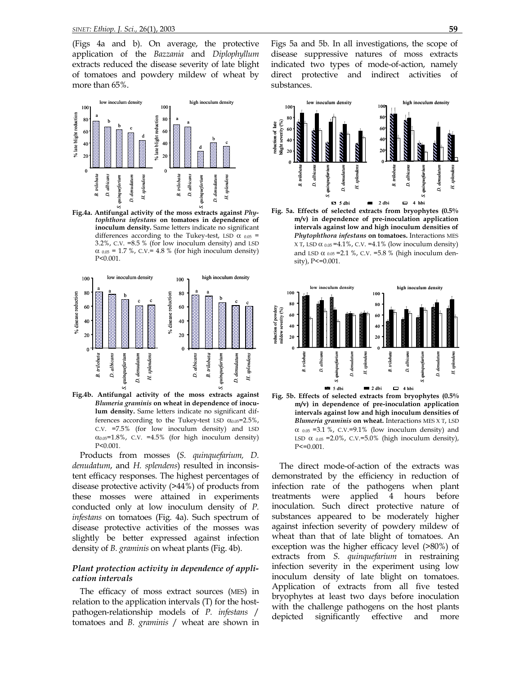(Figs 4a and b). On average, the protective application of the *Bazzania* and *Diplophyllum* extracts reduced the disease severity of late blight of tomatoes and powdery mildew of wheat by more than 65%.



**Fig.4a. Antifungal activity of the moss extracts against** *Phytophthora infestans* **on tomatoes in dependence of inoculum density.** Same letters indicate no significant differences according to the Tukey-test, LSD  $\alpha$   $_{0.05}$  = 3.2%, C.V. =8.5 % (for low inoculum density) and LSD  $α_{0.05} = 1.7 %$ , C.V.= 4.8 % (for high inoculum density) P<0.001.



**Fig.4b. Antifungal activity of the moss extracts against** *Blumeria graminis* **on wheat in dependence of inoculum density.** Same letters indicate no significant differences according to the Tukey-test LSD  $\alpha_{0.05}$ =2.5%, C.V. =7.5% (for low inoculum density) and LSD  $\alpha_{0.05}$ =1.8%, C.V. =4.5% (for high inoculum density) P<0.001.

Products from mosses (*S. quinquefarium, D. denudatum*, and *H. splendens*) resulted in inconsistent efficacy responses. The highest percentages of disease protective activity (>44%) of products from these mosses were attained in experiments conducted only at low inoculum density of *P. infestans* on tomatoes (Fig. 4a). Such spectrum of disease protective activities of the mosses was slightly be better expressed against infection density of *B. graminis* on wheat plants (Fig. 4b).

### *Plant protection activity in dependence of application intervals*

The efficacy of moss extract sources (MES) in relation to the application intervals (T) for the hostpathogen-relationship models of *P. infestans* / tomatoes and *B. graminis* / wheat are shown in

Figs 5a and 5b. In all investigations, the scope of disease suppressive natures of moss extracts indicated two types of mode-of-action, namely direct protective and indirect activities of substances.



**Fig. 5a. Effects of selected extracts from bryophytes (0.5% m/v) in dependence of pre-inoculation application intervals against low and high inoculum densities of**  *Phytophthora infestans* **on tomatoes.** Interactions MES  $X T$ , LSD  $\alpha$  0.05 = 4.1%, C.V. = 4.1% (low inoculum density) and LSD  $\alpha$  0.05 = 2.1 %, C.V. = 5.8 % (high inoculum density), P<=0.001.



**Fig. 5b. Effects of selected extracts from bryophytes (0.5% m/v) in dependence of pre-inoculation application intervals against low and high inoculum densities of**  *Blumeria graminis* **on wheat.** Interactions MES X T, LSD  $\alpha$  0.05 =3.1 %, C.V.=9.1% (low inoculum density) and LSD  $\alpha$  0.05 = 2.0%, C.V.=5.0% (high inoculum density), P<=0.001.

The direct mode-of-action of the extracts was demonstrated by the efficiency in reduction of infection rate of the pathogens when plant treatments were applied 4 hours before inoculation. Such direct protective nature of substances appeared to be moderately higher against infection severity of powdery mildew of wheat than that of late blight of tomatoes. An exception was the higher efficacy level (>80%) of extracts from *S. quinquefarium* in restraining infection severity in the experiment using low inoculum density of late blight on tomatoes. Application of extracts from all five tested bryophytes at least two days before inoculation with the challenge pathogens on the host plants depicted significantly effective and more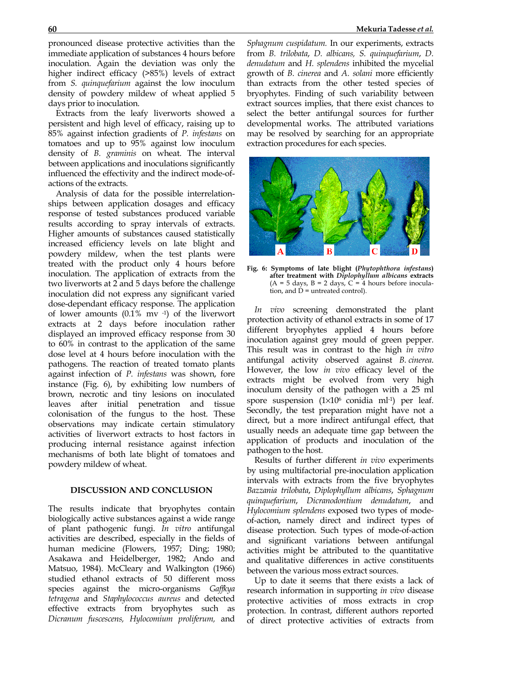pronounced disease protective activities than the immediate application of substances 4 hours before inoculation. Again the deviation was only the higher indirect efficacy ( $>85\%$ ) levels of extract from *S. quinquefarium* against the low inoculum density of powdery mildew of wheat applied 5 days prior to inoculation.

Extracts from the leafy liverworts showed a persistent and high level of efficacy, raising up to 85% against infection gradients of *P. infestans* on tomatoes and up to 95% against low inoculum density of *B. graminis* on wheat. The interval between applications and inoculations significantly influenced the effectivity and the indirect mode-ofactions of the extracts.

Analysis of data for the possible interrelationships between application dosages and efficacy response of tested substances produced variable results according to spray intervals of extracts. Higher amounts of substances caused statistically increased efficiency levels on late blight and powdery mildew, when the test plants were treated with the product only 4 hours before inoculation. The application of extracts from the two liverworts at 2 and 5 days before the challenge inoculation did not express any significant varied dose-dependant efficacy response. The application of lower amounts (0.1% mv -1) of the liverwort extracts at 2 days before inoculation rather displayed an improved efficacy response from 30 to 60% in contrast to the application of the same dose level at 4 hours before inoculation with the pathogens. The reaction of treated tomato plants against infection of *P. infestans* was shown, fore instance (Fig. 6), by exhibiting low numbers of brown, necrotic and tiny lesions on inoculated leaves after initial penetration and tissue colonisation of the fungus to the host. These observations may indicate certain stimulatory activities of liverwort extracts to host factors in producing internal resistance against infection mechanisms of both late blight of tomatoes and powdery mildew of wheat.

#### **DISCUSSION AND CONCLUSION**

The results indicate that bryophytes contain biologically active substances against a wide range of plant pathogenic fungi. *In vitro* antifungal activities are described, especially in the fields of human medicine (Flowers, 1957; Ding; 1980; Asakawa and Heidelberger, 1982; Ando and Matsuo, 1984). McCleary and Walkington (1966) studied ethanol extracts of 50 different moss species against the micro-organisms *Gaffkya tetragena* and *Staphylococcus aureus* and detected effective extracts from bryophytes such as *Dicranum fuscescens, Hylocomium proliferum,* and

*Sphagnum cuspidatum.* In our experiments, extracts from *B. trilobata*, *D. albicans, S. quinquefarium*, *D. denudatum* and *H. splendens* inhibited the mycelial growth of *B. cinerea* and *A. solani* more efficiently than extracts from the other tested species of bryophytes. Finding of such variability between extract sources implies, that there exist chances to select the better antifungal sources for further developmental works. The attributed variations may be resolved by searching for an appropriate extraction procedures for each species.



**Fig. 6: Symptoms of late blight (***Phytophthora infestans***) after treatment with** *Diplophyllum albicans* **extracts**   $(A = 5$  days,  $B = 2$  days,  $C = 4$  hours before inoculation, and  $\dot{\mathbf{D}}$  = untreated control).

*In vivo* screening demonstrated the plant protection activity of ethanol extracts in some of 17 different bryophytes applied 4 hours before inoculation against grey mould of green pepper. This result was in contrast to the high *in vitro* antifungal activity observed against *B. cinerea*. However, the low *in vivo* efficacy level of the extracts might be evolved from very high inoculum density of the pathogen with a 25 ml spore suspension (1×10<sup>6</sup> conidia ml<sup>-1</sup>) per leaf. Secondly, the test preparation might have not a direct, but a more indirect antifungal effect, that usually needs an adequate time gap between the application of products and inoculation of the pathogen to the host.

Results of further different *in vivo* experiments by using multifactorial pre-inoculation application intervals with extracts from the five bryophytes *Bazzania trilobata*, *Diplophyllum albicans*, *Sphagnum quinquefarium*, *Dicranodontium denudatum*, and *Hylocomium splendens* exposed two types of modeof-action, namely direct and indirect types of disease protection. Such types of mode-of-action and significant variations between antifungal activities might be attributed to the quantitative and qualitative differences in active constituents between the various moss extract sources.

Up to date it seems that there exists a lack of research information in supporting *in vivo* disease protective activities of moss extracts in crop protection. In contrast, different authors reported of direct protective activities of extracts from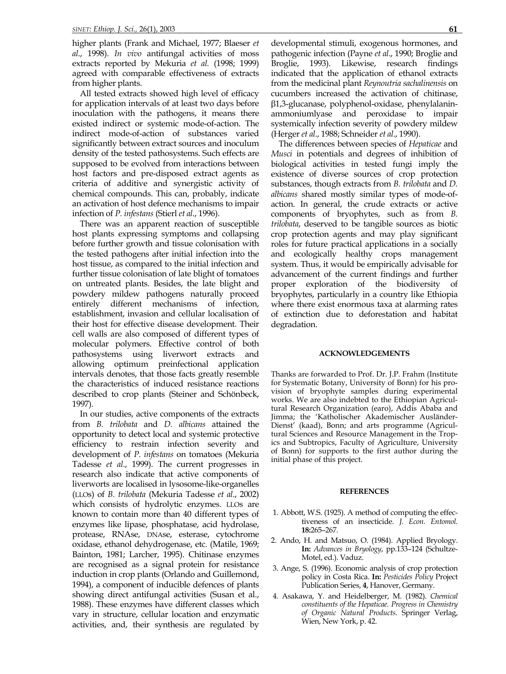higher plants (Frank and Michael, 1977; Blaeser *et al*., 1998). *In vivo* antifungal activities of moss extracts reported by Mekuria *et al.* (1998; 1999) agreed with comparable effectiveness of extracts from higher plants.

All tested extracts showed high level of efficacy for application intervals of at least two days before inoculation with the pathogens, it means there existed indirect or systemic mode-of-action. The indirect mode-of-action of substances varied significantly between extract sources and inoculum density of the tested pathosystems. Such effects are supposed to be evolved from interactions between host factors and pre-disposed extract agents as criteria of additive and synergistic activity of chemical compounds. This can, probably, indicate an activation of host defence mechanisms to impair infection of *P. infestans* (Stierl *et al*., 1996).

There was an apparent reaction of susceptible host plants expressing symptoms and collapsing before further growth and tissue colonisation with the tested pathogens after initial infection into the host tissue, as compared to the initial infection and further tissue colonisation of late blight of tomatoes on untreated plants. Besides, the late blight and powdery mildew pathogens naturally proceed entirely different mechanisms of infection, establishment, invasion and cellular localisation of their host for effective disease development. Their cell walls are also composed of different types of molecular polymers. Effective control of both pathosystems using liverwort extracts and allowing optimum preinfectional application intervals denotes, that those facts greatly resemble the characteristics of induced resistance reactions described to crop plants (Steiner and Schönbeck, 1997).

In our studies, active components of the extracts from *B. trilobata* and *D. albicans* attained the opportunity to detect local and systemic protective efficiency to restrain infection severity and development of *P. infestans* on tomatoes (Mekuria Tadesse *et al*., 1999). The current progresses in research also indicate that active components of liverworts are localised in lysosome-like-organelles (LLOs) of *B. trilobata* (Mekuria Tadesse *et al*., 2002) which consists of hydrolytic enzymes. LLOs are known to contain more than 40 different types of enzymes like lipase, phosphatase, acid hydrolase, protease, RNAse, DNAse, esterase, cytochrome oxidase, ethanol dehydrogenase, etc. (Matile, 1969; Bainton, 1981; Larcher, 1995). Chitinase enzymes are recognised as a signal protein for resistance induction in crop plants (Orlando and Guillemond, 1994), a component of inducible defences of plants showing direct antifungal activities (Susan et al., 1988). These enzymes have different classes which vary in structure, cellular location and enzymatic activities, and, their synthesis are regulated by

developmental stimuli, exogenous hormones, and pathogenic infection (Payne *et al*., 1990; Broglie and Broglie, 1993). Likewise, research findings indicated that the application of ethanol extracts from the medicinal plant *Reynoutria sachalinensis* on cucumbers increased the activation of chitinase, β1,3-glucanase, polyphenol-oxidase, phenylalaninammoniumlyase and peroxidase to impair systemically infection severity of powdery mildew (Herger *et al*., 1988; Schneider *et al*., 1990).

The differences between species of *Hepaticae* and *Musci* in potentials and degrees of inhibition of biological activities in tested fungi imply the existence of diverse sources of crop protection substances, though extracts from *B. trilobata* and *D. albicans* shared mostly similar types of mode-ofaction. In general, the crude extracts or active components of bryophytes, such as from *B. trilobata*, deserved to be tangible sources as biotic crop protection agents and may play significant roles for future practical applications in a socially and ecologically healthy crops management system. Thus, it would be empirically advisable for advancement of the current findings and further proper exploration of the biodiversity of bryophytes, particularly in a country like Ethiopia where there exist enormous taxa at alarming rates of extinction due to deforestation and habitat degradation.

#### **ACKNOWLEDGEMENTS**

Thanks are forwarded to Prof. Dr. J.P. Frahm (Institute for Systematic Botany, University of Bonn) for his provision of bryophyte samples during experimental works. We are also indebted to the Ethiopian Agricultural Research Organization (earo), Addis Ababa and Jimma; the 'Katholischer Akademischer Ausländer-Dienst' (kaad), Bonn; and arts programme (Agricultural Sciences and Resource Management in the Tropics and Subtropics, Faculty of Agriculture, University of Bonn) for supports to the first author during the initial phase of this project.

#### **REFERENCES**

- 1. Abbott, W.S. (1925). A method of computing the effectiveness of an insecticide. *J. Econ. Entomol*. **18:**265–267.
- 2. Ando, H. and Matsuo, O. (1984). Applied Bryology. **In:** *Advances in Bryology*, pp.133–124 (Schultze-Motel, ed.). Vaduz.
- 3. Ange, S. (1996). Economic analysis of crop protection policy in Costa Rica. **In:** *Pesticides Policy* Project Publication Series, **4**, Hanover, Germany.
- 4. Asakawa, Y. and Heidelberger, M. (1982). *Chemical constituents of the Hepaticae. Progress in Chemistry of Organic Natural Products.* Springer Verlag, Wien, New York, p. 42.